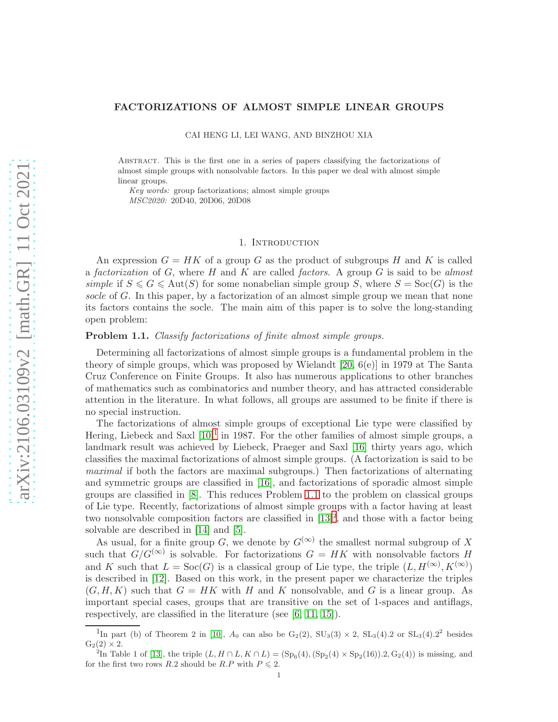## FACTORIZATIONS OF ALMOST SIMPLE LINEAR GROUPS

CAI HENG LI, LEI WANG, AND BINZHOU XIA

Abstract. This is the first one in a series of papers classifying the factorizations of almost simple groups with nonsolvable factors. In this paper we deal with almost simple linear groups.

Key words: group factorizations; almost simple groups MSC2020: 20D40, 20D06, 20D08

### 1. Introduction

An expression  $G = HK$  of a group G as the product of subgroups H and K is called a factorization of  $G$ , where  $H$  and  $K$  are called factors. A group  $G$  is said to be almost simple if  $S \leq G \leq \text{Aut}(S)$  for some nonabelian simple group S, where  $S = \text{Soc}(G)$  is the socle of G. In this paper, by a factorization of an almost simple group we mean that none its factors contains the socle. The main aim of this paper is to solve the long-standing open problem:

# <span id="page-0-1"></span>Problem 1.1. Classify factorizations of finite almost simple groups.

Determining all factorizations of almost simple groups is a fundamental problem in the theory of simple groups, which was proposed by Wielandt [\[20,](#page-10-0) 6(e)] in 1979 at The Santa Cruz Conference on Finite Groups. It also has numerous applications to other branches of mathematics such as combinatorics and number theory, and has attracted considerable attention in the literature. In what follows, all groups are assumed to be finite if there is no special instruction.

The factorizations of almost simple groups of exceptional Lie type were classified by Hering, Liebeck and Saxl  $[10]^1$  $[10]^1$  $[10]^1$  in 1987. For the other families of almost simple groups, a landmark result was achieved by Liebeck, Praeger and Saxl [\[16\]](#page-10-1) thirty years ago, which classifies the maximal factorizations of almost simple groups. (A factorization is said to be maximal if both the factors are maximal subgroups.) Then factorizations of alternating and symmetric groups are classified in [\[16\]](#page-10-1), and factorizations of sporadic almost simple groups are classified in [\[8\]](#page-9-1). This reduces Problem [1.1](#page-0-1) to the problem on classical groups of Lie type. Recently, factorizations of almost simple groups with a factor having at least two nonsolvable composition factors are classified in  $[13]^2$  $[13]^2$ , and those with a factor being solvable are described in [\[14\]](#page-10-3) and [\[5\]](#page-9-2).

As usual, for a finite group G, we denote by  $G^{(\infty)}$  the smallest normal subgroup of X such that  $G/G^{(\infty)}$  is solvable. For factorizations  $G = HK$  with nonsolvable factors H and K such that  $L = \text{Soc}(G)$  is a classical group of Lie type, the triple  $(L, H^{(\infty)}, K^{(\infty)})$ is described in [\[12\]](#page-9-3). Based on this work, in the present paper we characterize the triples  $(G, H, K)$  such that  $G = HK$  with H and K nonsolvable, and G is a linear group. As important special cases, groups that are transitive on the set of 1-spaces and antiflags, respectively, are classified in the literature (see [\[6,](#page-9-4) [11,](#page-9-5) [15\]](#page-10-4)).

<span id="page-0-0"></span><sup>&</sup>lt;sup>1</sup>In part (b) of Theorem 2 in [\[10\]](#page-9-0),  $A_0$  can also be  $G_2(2)$ ,  $SU_3(3) \times 2$ ,  $SL_3(4)$ . 2 or  $SL_3(4)$ . 2<sup>2</sup> besides  $G_2(2) \times 2$ .

<span id="page-0-2"></span><sup>&</sup>lt;sup>2</sup>In Table 1 of [\[13\]](#page-10-2), the triple  $(L, H \cap L, K \cap L) = (Sp<sub>6</sub>(4), (Sp<sub>2</sub>(4) \times Sp<sub>2</sub>(16)).2, G<sub>2</sub>(4))$  is missing, and for the first two rows R.2 should be R.P with  $P \le 2$ .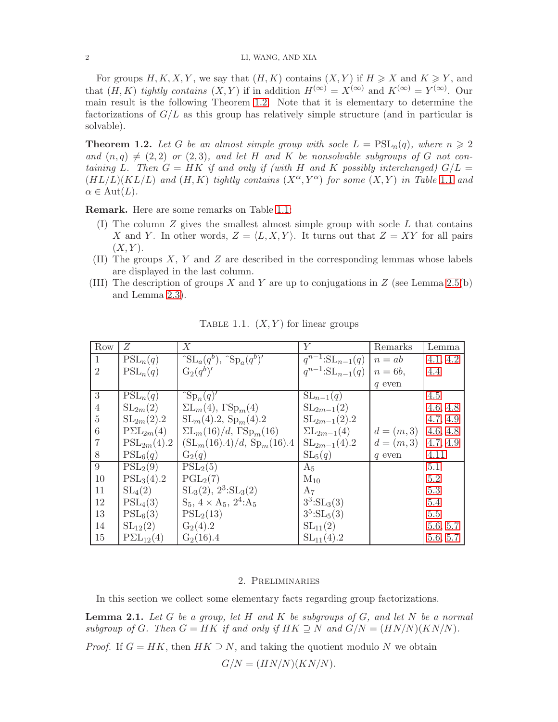For groups  $H, K, X, Y$ , we say that  $(H, K)$  contains  $(X, Y)$  if  $H \geq X$  and  $K \geq Y$ , and that  $(H, K)$  tightly contains  $(X, Y)$  if in addition  $H^{(\infty)} = X^{(\infty)}$  and  $K^{(\infty)} = Y^{(\infty)}$ . Our main result is the following Theorem [1.2.](#page-1-0) Note that it is elementary to determine the factorizations of  $G/L$  as this group has relatively simple structure (and in particular is solvable).

<span id="page-1-0"></span>**Theorem 1.2.** Let G be an almost simple group with socle  $L = \text{PSL}_n(q)$ , where  $n \geq 2$ and  $(n, q) \neq (2, 2)$  or  $(2, 3)$ , and let H and K be nonsolvable subgroups of G not containing L. Then  $G = HK$  if and only if (with H and K possibly interchanged)  $G/L =$  $(HL/L)(KL/L)$  and  $(H, K)$  tightly contains  $(X^{\alpha}, Y^{\alpha})$  for some  $(X, Y)$  in Table [1](#page-1-1).1 and  $\alpha \in \text{Aut}(L)$ .

Remark. Here are some remarks on Table [1.1:](#page-1-1)

- (I) The column  $Z$  gives the smallest almost simple group with socle  $L$  that contains X and Y. In other words,  $Z = \langle L, X, Y \rangle$ . It turns out that  $Z = XY$  for all pairs  $(X, Y)$ .
- (II) The groups  $X, Y$  and  $Z$  are described in the corresponding lemmas whose labels are displayed in the last column.
- <span id="page-1-1"></span>(III) The description of groups X and Y are up to conjugations in Z (see Lemma [2.5\(](#page-2-0)b) and Lemma [2.3\)](#page-2-1).

| Row            | Ζ                              | X                                                      | Y                                         | Remarks      | Lemma    |
|----------------|--------------------------------|--------------------------------------------------------|-------------------------------------------|--------------|----------|
| $\mathbf{1}$   | $PSL_n(q)$                     | $\int \mathrm{SL}_a(q^b)$ , $\int \mathrm{Sp}_a(q^b)'$ | $\overline{q}^{n-1}:\mathrm{SL}_{n-1}(q)$ | $n = ab$     | 4.1, 4.2 |
| $\overline{2}$ | $PSL_n(q)$                     | $G_2(q^b)'$                                            | $q^{n-1}:\mathrm{SL}_{n-1}(q)$            | $n = 6b$ ,   | 4.4      |
|                |                                |                                                        |                                           | $q$ even     |          |
| 3              | $\overline{\mathrm{PSL}}_n(q)$ | $\exp_n(q)$                                            | $SL_{n-1}(q)$                             |              | 4.5      |
| $\overline{4}$ | $SL_{2m}(2)$                   | $\Sigma L_m(4)$ , $\Gamma Sp_m(4)$                     | $SL_{2m-1}(2)$                            |              | 4.6, 4.8 |
| $\overline{5}$ | $SL_{2m}(2).2$                 | $SL_m(4).2, Sp_m(4).2$                                 | $SL_{2m-1}(2).2$                          |              | 4.7, 4.9 |
| 6              | $P\Sigma L_{2m}(4)$            | $\Sigma L_m(16)/d$ , $\Gamma Sp_m(16)$                 | $\sum_{m=1}$ (4)                          | $d = (m, 3)$ | 4.6, 4.8 |
| $\overline{7}$ | $PSL_{2m}(4).2$                | $(SL_m(16).4)/d, Sp_m(16).4$                           | $SL_{2m-1}(4).2$                          | $d = (m, 3)$ | 4.7, 4.9 |
| 8              | $PSL_6(q)$                     | $G_2(q)$                                               | $SL_5(q)$                                 | $q$ even     | 4.11     |
| 9              | $PSL_2(9)$                     | $PSL_2(5)$                                             | $A_5$                                     |              | 5.1      |
| 10             | PSL <sub>3</sub> (4).2         | PGL <sub>2</sub> (7)                                   | $M_{10}$                                  |              | 5.2      |
| 11             | SL <sub>4</sub> (2)            | $SL_3(2), 2^3:SL_3(2)$                                 | $A_7$                                     |              | 5.3      |
| 12             | $PSL_4(3)$                     | $S_5$ , $4 \times A_5$ , $2^4$ : $A_5$                 | $3^3:SL_3(3)$                             |              | 5.4      |
| 13             | $PSL_6(3)$                     | $PSL_2(13)$                                            | $3^5:SL_5(3)$                             |              | 5.5      |
| 14             | $SL_{12}(2)$                   | $G_2(4).2$                                             | $SL_{11}(2)$                              |              | 5.6, 5.7 |
| 15             | $P\Sigma L_{12}(4)$            | $G_2(16).4$                                            | $SL_{11}(4).2$                            |              | 5.6, 5.7 |

TABLE 1.1.  $(X, Y)$  for linear groups

### 2. Preliminaries

In this section we collect some elementary facts regarding group factorizations.

<span id="page-1-2"></span>**Lemma 2.1.** Let G be a group, let H and K be subgroups of G, and let N be a normal subgroup of G. Then  $G = HK$  if and only if  $HK \supseteq N$  and  $G/N = (HN/N)(KN/N)$ .

*Proof.* If  $G = HK$ , then  $HK \supseteq N$ , and taking the quotient modulo N we obtain

 $G/N = (HN/N)(KN/N)$ .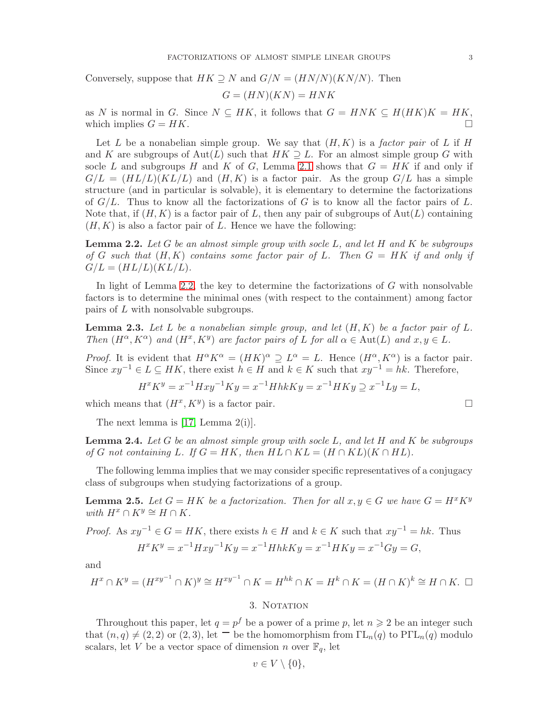Conversely, suppose that  $HK \supseteq N$  and  $G/N = (HN/N)(KN/N)$ . Then

$$
G = (HN)(KN) = HNK
$$

as N is normal in G. Since  $N \subseteq HK$ , it follows that  $G = HNK \subseteq H(HK)K = HK$ , which implies  $G = HK$ .

Let L be a nonabelian simple group. We say that  $(H, K)$  is a factor pair of L if H and K are subgroups of  $Aut(L)$  such that  $HK \supseteq L$ . For an almost simple group G with socle L and subgroups H and K of G, Lemma [2.1](#page-1-2) shows that  $G = HK$  if and only if  $G/L = (HL/L)(KL/L)$  and  $(H, K)$  is a factor pair. As the group  $G/L$  has a simple structure (and in particular is solvable), it is elementary to determine the factorizations of  $G/L$ . Thus to know all the factorizations of G is to know all the factor pairs of L. Note that, if  $(H, K)$  is a factor pair of L, then any pair of subgroups of  $Aut(L)$  containing  $(H, K)$  is also a factor pair of L. Hence we have the following:

<span id="page-2-2"></span>**Lemma 2.2.** Let G be an almost simple group with socle L, and let H and K be subgroups of G such that  $(H, K)$  contains some factor pair of L. Then  $G = HK$  if and only if  $G/L = (HL/L)(KL/L)$ .

In light of Lemma [2.2,](#page-2-2) the key to determine the factorizations of  $G$  with nonsolvable factors is to determine the minimal ones (with respect to the containment) among factor pairs of L with nonsolvable subgroups.

<span id="page-2-1"></span>**Lemma 2.3.** Let L be a nonabelian simple group, and let  $(H, K)$  be a factor pair of L. Then  $(H^{\alpha}, K^{\alpha})$  and  $(H^x, K^y)$  are factor pairs of L for all  $\alpha \in Aut(L)$  and  $x, y \in L$ .

*Proof.* It is evident that  $H^{\alpha} K^{\alpha} = (HK)^{\alpha} \supseteq L^{\alpha} = L$ . Hence  $(H^{\alpha}, K^{\alpha})$  is a factor pair. Since  $xy^{-1} \in L \subseteq HK$ , there exist  $h \in H$  and  $k \in K$  such that  $xy^{-1} = hk$ . Therefore,

$$
H^x K^y = x^{-1} H x y^{-1} K y = x^{-1} H h k K y = x^{-1} H K y \supseteq x^{-1} L y = L,
$$

which means that  $(H^x, K^y)$  is a factor pair.

The next lemma is  $[17, \text{Lemma } 2(i)].$ 

**Lemma 2.4.** Let G be an almost simple group with socle L, and let H and K be subgroups of G not containing L. If  $G = HK$ , then  $HL \cap KL = (H \cap KL)(K \cap HL)$ .

The following lemma implies that we may consider specific representatives of a conjugacy class of subgroups when studying factorizations of a group.

<span id="page-2-0"></span>**Lemma 2.5.** Let  $G = HK$  be a factorization. Then for all  $x, y \in G$  we have  $G = H^x K^y$ with  $H^x \cap K^y \cong H \cap K$ .

*Proof.* As  $xy^{-1} \in G = HK$ , there exists  $h \in H$  and  $k \in K$  such that  $xy^{-1} = hk$ . Thus

$$
H^x K^y = x^{-1} H x y^{-1} K y = x^{-1} H h k K y = x^{-1} H K y = x^{-1} G y = G,
$$

and

$$
H^x \cap K^y = (H^{xy^{-1}} \cap K)^y \cong H^{xy^{-1}} \cap K = H^{hk} \cap K = H^k \cap K = (H \cap K)^k \cong H \cap K. \square
$$

## 3. NOTATION

Throughout this paper, let  $q = p^f$  be a power of a prime p, let  $n \geq 2$  be an integer such that  $(n, q) \neq (2, 2)$  or  $(2, 3)$ , let  $\Box$  be the homomorphism from  $\Gamma L_n(q)$  to  $P\Gamma L_n(q)$  modulo scalars, let V be a vector space of dimension n over  $\mathbb{F}_q$ , let

$$
v \in V \setminus \{0\},\
$$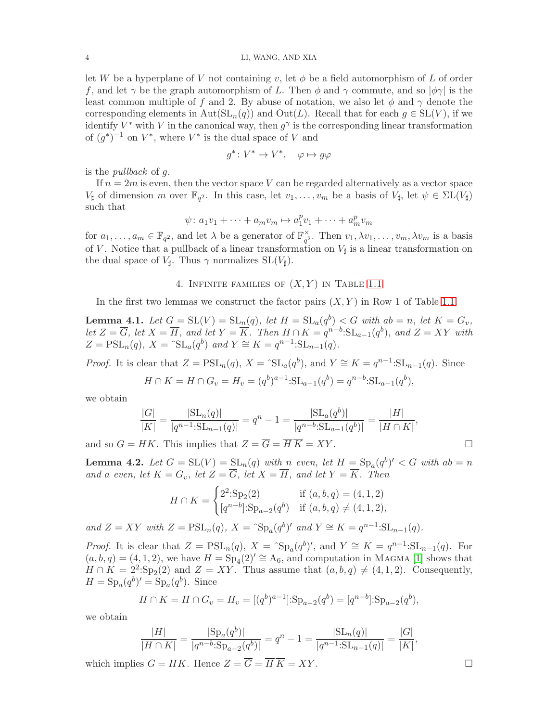let W be a hyperplane of V not containing v, let  $\phi$  be a field automorphism of L of order f, and let  $\gamma$  be the graph automorphism of L. Then  $\phi$  and  $\gamma$  commute, and so  $|\phi\gamma|$  is the least common multiple of f and 2. By abuse of notation, we also let  $\phi$  and  $\gamma$  denote the corresponding elements in  $Aut(SL_n(q))$  and  $Out(L)$ . Recall that for each  $g \in SL(V)$ , if we identify  $V^*$  with V in the canonical way, then  $g^{\gamma}$  is the corresponding linear transformation of  $(g^*)^{-1}$  on  $V^*$ , where  $V^*$  is the dual space of V and

$$
g^*\colon V^*\to V^*,\quad \varphi\mapsto g\varphi
$$

is the pullback of g.

If  $n = 2m$  is even, then the vector space V can be regarded alternatively as a vector space  $V_{\sharp}$  of dimension m over  $\mathbb{F}_{q^2}$ . In this case, let  $v_1, \ldots, v_m$  be a basis of  $V_{\sharp}$ , let  $\psi \in \Sigma L(V_{\sharp})$ such that

$$
\psi \colon a_1v_1 + \dots + a_mv_m \mapsto a_1^pv_1 + \dots + a_m^pv_m
$$

for  $a_1, \ldots, a_m \in \mathbb{F}_{q^2}$ , and let  $\lambda$  be a generator of  $\mathbb{F}_{q^2}^{\times}$  $\chi_{q^2}^{\times}$ . Then  $v_1, \lambda v_1, \ldots, v_m, \lambda v_m$  is a basis of V. Notice that a pullback of a linear transformation on  $V$ <sup> $\sharp$ </sup> is a linear transformation on the dual space of  $V_{\sharp}$ . Thus  $\gamma$  normalizes  $SL(V_{\sharp})$ .

### 4. INFINITE FAMILIES OF  $(X, Y)$  IN TABLE [1.1](#page-1-1)

<span id="page-3-2"></span>In the first two lemmas we construct the factor pairs  $(X, Y)$  in Row 1 of Table [1.1.](#page-1-1)

<span id="page-3-0"></span>**Lemma 4.1.** Let  $G = SL(V) = SL_n(q)$ , let  $H = SL_a(q^b) < G$  with  $ab = n$ , let  $K = G_v$ , let  $Z = \overline{G}$ , let  $X = \overline{H}$ , and let  $Y = \overline{K}$ . Then  $H \cap K = q^{n-b}:\mathrm{SL}_{a-1}(q^{b})$ , and  $Z = XY$  with  $Z = \text{PSL}_n(q), X = \text{S}L_a(q^b)$  and  $Y \cong K = q^{n-1} \text{S}L_{n-1}(q)$ .

*Proof.* It is clear that  $Z = \text{PSL}_n(q)$ ,  $X = \text{SL}_n(q^b)$ , and  $Y \cong K = q^{n-1} \text{SL}_{n-1}(q)$ . Since

$$
H \cap K = H \cap G_v = H_v = (q^b)^{a-1} : SL_{a-1}(q^b) = q^{n-b} : SL_{a-1}(q^b),
$$

we obtain

$$
\frac{|G|}{|K|} = \frac{|\mathrm{SL}_n(q)|}{|q^{n-1}:\mathrm{SL}_{n-1}(q)|} = q^n - 1 = \frac{|\mathrm{SL}_a(q^b)|}{|q^{n-b}:\mathrm{SL}_{a-1}(q^b)|} = \frac{|H|}{|H \cap K|},
$$

and so  $G = HK$ . This implies that  $Z = \overline{G} = \overline{H}\overline{K} = XY$ .

<span id="page-3-1"></span>**Lemma 4.2.** Let  $G = SL(V) = SL_n(q)$  with n even, let  $H = Sp_a(q^b)' < G$  with  $ab = n$ and a even, let  $K = G_v$ , let  $Z = \overline{G}$ , let  $X = \overline{H}$ , and let  $Y = \overline{K}$ . Then

$$
H \cap K = \begin{cases} 2^2 \cdot \text{Sp}_2(2) & \text{if } (a, b, q) = (4, 1, 2) \\ [q^{n-b}] \cdot \text{Sp}_{a-2}(q^b) & \text{if } (a, b, q) \neq (4, 1, 2), \end{cases}
$$

and  $Z = XY$  with  $Z = \text{PSL}_n(q)$ ,  $X = \text{S}_{p_a}(q^b)'$  and  $Y \cong K = q^{n-1}:\text{SL}_{n-1}(q)$ .

*Proof.* It is clear that  $Z = \text{PSL}_n(q)$ ,  $X = \text{Sp}_a(q^b)'$ , and  $Y \cong K = q^{n-1} \text{SL}_{n-1}(q)$ . For  $(a, b, q) = (4, 1, 2)$ , we have  $H = Sp_4(2)' \cong A_6$ , and computation in MAGMA [\[1\]](#page-9-6) shows that  $H \cap K = 2^2 \cdot \text{Sp}_2(2)$  and  $Z = XY$ . Thus assume that  $(a, b, q) \neq (4, 1, 2)$ . Consequently,  $H = \mathrm{Sp}_a(q^b)' = \mathrm{Sp}_a(q^b)$ . Since

$$
H \cap K = H \cap G_v = H_v = [(q^b)^{a-1}]: \operatorname{Sp}_{a-2}(q^b) = [q^{n-b}]: \operatorname{Sp}_{a-2}(q^b),
$$

we obtain

$$
\frac{|H|}{|H \cap K|} = \frac{|{\rm Sp}_a(q^b)|}{|q^{n-b}{\rm:Sp}_{a-2}(q^b)|} = q^n - 1 = \frac{|{\rm SL}_n(q)|}{|q^{n-1}{\rm:SL}_{n-1}(q)|} = \frac{|G|}{|K|},
$$

which implies  $G = HK$ . Hence  $Z = \overline{G} = \overline{H} \overline{K} = XY$ .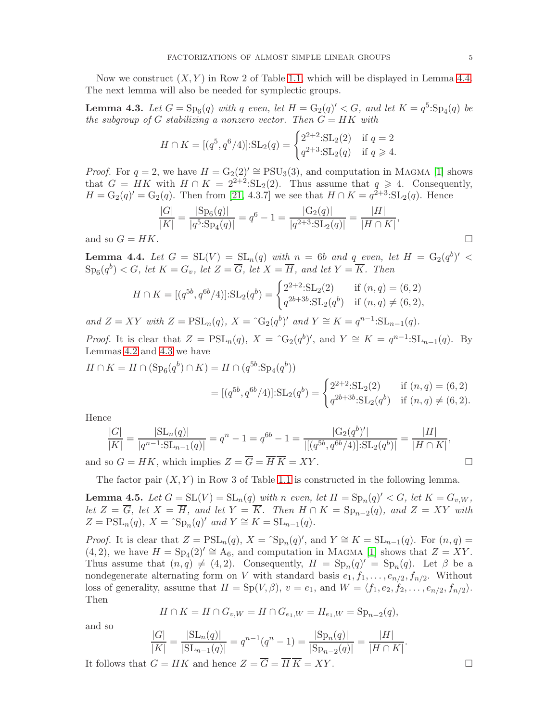Now we construct  $(X, Y)$  in Row 2 of Table [1.1,](#page-1-1) which will be displayed in Lemma [4.4.](#page-4-0) The next lemma will also be needed for symplectic groups.

<span id="page-4-2"></span>**Lemma 4.3.** Let  $G = Sp_6(q)$  with q even, let  $H = G_2(q)' < G$ , and let  $K = q^5 \cdot Sp_4(q)$  be the subgroup of G stabilizing a nonzero vector. Then  $G = HK$  with

$$
H \cap K = [(q^5, q^6/4)] : SL_2(q) = \begin{cases} 2^{2+2} : SL_2(2) & \text{if } q = 2\\ q^{2+3} : SL_2(q) & \text{if } q \ge 4. \end{cases}
$$

*Proof.* For  $q = 2$ , we have  $H = G_2(2)' \cong \text{PSU}_3(3)$ , and computation in MAGMA [\[1\]](#page-9-6) shows that  $G = HK$  with  $H \cap K = 2^{2+2} : SL_2(2)$ . Thus assume that  $q \geq 4$ . Consequently,  $H = G_2(q)' = G_2(q)$ . Then from [\[21,](#page-10-6) 4.3.7] we see that  $H \cap K = q^{2+3} : SL_2(q)$ . Hence

$$
\frac{|G|}{|K|} = \frac{|Sp_6(q)|}{|q^5 \cdot Sp_4(q)|} = q^6 - 1 = \frac{|G_2(q)|}{|q^{2+3} \cdot SL_2(q)|} = \frac{|H|}{|H \cap K|},
$$
  
K.

and so  $G = H$ 

<span id="page-4-0"></span>**Lemma 4.4.** Let  $G = SL(V) = SL_n(q)$  with  $n = 6b$  and q even, let  $H = G_2(q^b)' <$  $\text{Sp}_6(q^b) < G$ , let  $K = G_v$ , let  $Z = \overline{G}$ , let  $X = \overline{H}$ , and let  $Y = \overline{K}$ . Then

$$
H \cap K = [(q^{5b}, q^{6b}/4)]: SL_2(q^b) = \begin{cases} 2^{2+2}: SL_2(2) & \text{if } (n, q) = (6, 2) \\ q^{2b+3b}: SL_2(q^b) & \text{if } (n, q) \neq (6, 2), \end{cases}
$$

and  $Z = XY$  with  $Z = \text{PSL}_n(q)$ ,  $X = \hat{G}_2(q^b)'$  and  $Y \cong K = q^{n-1}:\text{SL}_{n-1}(q)$ .

*Proof.* It is clear that  $Z = \text{PSL}_n(q)$ ,  $X = \text{G}_2(q^b)'$ , and  $Y \cong K = q^{n-1} \text{SL}_{n-1}(q)$ . By Lemmas [4.2](#page-3-1) and [4.3](#page-4-2) we have

$$
H \cap K = H \cap (\text{Sp}_6(q^b) \cap K) = H \cap (q^{5b}:\text{Sp}_4(q^b))
$$
  
= 
$$
[(q^{5b}, q^{6b}/4)]:\text{SL}_2(q^b) = \begin{cases} 2^{2+2}:\text{SL}_2(2) & \text{if } (n,q) = (6,2) \\ q^{2b+3b}:\text{SL}_2(q^b) & \text{if } (n,q) \neq (6,2). \end{cases}
$$

Hence

$$
\frac{|G|}{|K|} = \frac{|SL_n(q)|}{|q^{n-1}:\mathrm{SL}_{n-1}(q)|} = q^n - 1 = q^{6b} - 1 = \frac{|G_2(q^b)'|}{|[(q^{5b}, q^{6b}/4)]:\mathrm{SL}_2(q^b)]} = \frac{|H|}{|H \cap K|},
$$

and so  $G = HK$ , which implies  $Z = G = HK = XY$ .

The factor pair  $(X, Y)$  in Row 3 of Table [1.1](#page-1-1) is constructed in the following lemma.

<span id="page-4-1"></span>**Lemma 4.5.** Let  $G = SL(V) = SL_n(q)$  with n even, let  $H = Sp_n(q)' < G$ , let  $K = G_{v,W}$ , let  $Z = G$ , let  $X = H$ , and let  $Y = K$ . Then  $H \cap K = \mathrm{Sp}_{n-2}(q)$ , and  $Z = XY$  with  $Z = \text{PSL}_n(q), X = \text{S}_{p_n}(q)'$  and  $Y \cong K = \text{SL}_{n-1}(q)$ .

*Proof.* It is clear that  $Z = \text{PSL}_n(q)$ ,  $X = \text{S}_{p_n}(q)$ , and  $Y \cong K = \text{SL}_{n-1}(q)$ . For  $(n, q) =$  $(4, 2)$ , we have  $H = Sp_4(2)' \cong A_6$ , and computation in MAGMA [\[1\]](#page-9-6) shows that  $Z = XY$ . Thus assume that  $(n,q) \neq (4, 2)$ . Consequently,  $H = \text{Sp}_n(q)' = \text{Sp}_n(q)$ . Let  $\beta$  be a nondegenerate alternating form on V with standard basis  $e_1, f_1, \ldots, e_{n/2}, f_{n/2}$ . Without loss of generality, assume that  $H = Sp(V, \beta)$ ,  $v = e_1$ , and  $W = \langle f_1, e_2, f_2, \dots, e_{n/2}, f_{n/2} \rangle$ . Then

$$
H \cap K = H \cap G_{v,W} = H \cap G_{e_1,W} = H_{e_1,W} = \text{Sp}_{n-2}(q),
$$

and so

$$
\frac{|G|}{|K|} = \frac{|\text{SL}_n(q)|}{|\text{SL}_{n-1}(q)|} = q^{n-1}(q^n - 1) = \frac{|\text{Sp}_n(q)|}{|\text{Sp}_{n-2}(q)|} = \frac{|H|}{|H \cap K|}
$$

It follows that  $G = HK$  and hence  $Z = \overline{G} = \overline{H}\overline{K} = XY$ .

.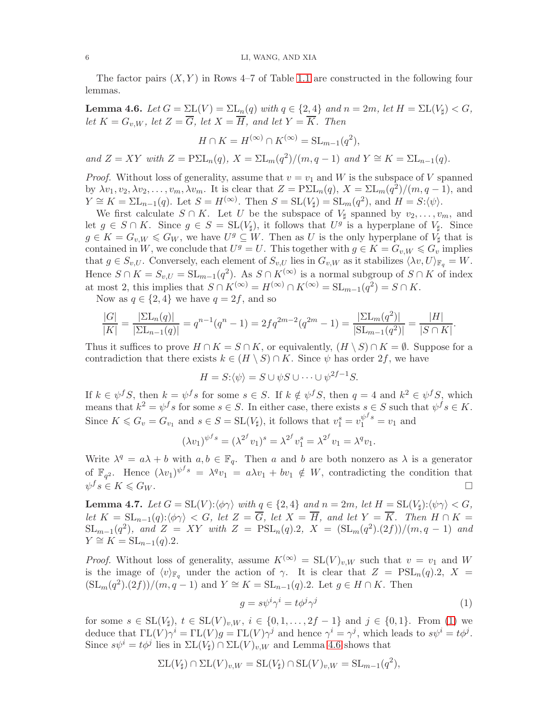The factor pairs  $(X, Y)$  in Rows 4–7 of Table [1.1](#page-1-1) are constructed in the following four lemmas.

<span id="page-5-0"></span>**Lemma 4.6.** Let  $G = \Sigma L(V) = \Sigma L_n(q)$  with  $q \in \{2, 4\}$  and  $n = 2m$ , let  $H = \Sigma L(V_{\sharp}) < G$ , let  $K = G_{v,W}$ , let  $Z = \overline{G}$ , let  $X = \overline{H}$ , and let  $Y = \overline{K}$ . Then

$$
H \cap K = H^{(\infty)} \cap K^{(\infty)} = \operatorname{SL}_{m-1}(q^2),
$$

and  $Z = XY$  with  $Z = P\Sigma L_n(q)$ ,  $X = \Sigma L_m(q^2)/(m, q - 1)$  and  $Y \cong K = \Sigma L_{n-1}(q)$ .

*Proof.* Without loss of generality, assume that  $v = v_1$  and W is the subspace of V spanned by  $\lambda v_1, v_2, \lambda v_2, \ldots, v_m, \lambda v_m$ . It is clear that  $Z = P \Sigma L_n(q)$ ,  $X = \Sigma L_m(q^2)/(m, q - 1)$ , and  $Y \cong K = \Sigma L_{n-1}(q)$ . Let  $S = H^{(\infty)}$ . Then  $S = SL(V_{\sharp}) = SL_m(q^2)$ , and  $H = S:\langle \psi \rangle$ .

We first calculate  $S \cap K$ . Let U be the subspace of  $V_{\sharp}$  spanned by  $v_2, \ldots, v_m$ , and let  $g \in S \cap K$ . Since  $g \in S = SL(V_{\sharp})$ , it follows that  $U^{g}$  is a hyperplane of  $V_{\sharp}$ . Since  $g \in K = G_{v,W} \leqslant G_W$ , we have  $U^g \subseteq W$ . Then as U is the only hyperplane of  $V_{\sharp}$  that is contained in W, we conclude that  $U^g = U$ . This together with  $g \in K = G_{v,W} \leqslant G_v$  implies that  $g \in S_{v,U}$ . Conversely, each element of  $S_{v,U}$  lies in  $G_{v,W}$  as it stabilizes  $\langle \lambda v, U \rangle_{\mathbb{F}_q} = W$ . Hence  $S \cap K = S_{v,U} = SL_{m-1}(q^2)$ . As  $S \cap K^{(\infty)}$  is a normal subgroup of  $S \cap K$  of index at most 2, this implies that  $S \cap K^{(\infty)} = H^{(\infty)} \cap K^{(\infty)} = SL_{m-1}(q^2) = S \cap K$ .

Now as  $q \in \{2, 4\}$  we have  $q = 2f$ , and so

$$
\frac{|G|}{|K|} = \frac{|\Sigma L_n(q)|}{|\Sigma L_{n-1}(q)|} = q^{n-1}(q^n - 1) = 2fq^{2m-2}(q^{2m} - 1) = \frac{|\Sigma L_m(q^2)|}{|\Sigma L_{m-1}(q^2)|} = \frac{|H|}{|S \cap K|}.
$$

Thus it suffices to prove  $H \cap K = S \cap K$ , or equivalently,  $(H \setminus S) \cap K = \emptyset$ . Suppose for a contradiction that there exists  $k \in (H \setminus S) \cap K$ . Since  $\psi$  has order  $2f$ , we have

$$
H = S:\langle \psi \rangle = S \cup \psi S \cup \dots \cup \psi^{2f-1} S.
$$

If  $k \in \psi^f S$ , then  $k = \psi^f s$  for some  $s \in S$ . If  $k \notin \psi^f S$ , then  $q = 4$  and  $k^2 \in \psi^f S$ , which means that  $k^2 = \psi^f s$  for some  $s \in S$ . In either case, there exists  $s \in S$  such that  $\psi^f s \in K$ . Since  $K \leq G_v = G_{v_1}$  and  $s \in S = SL(V_{\sharp})$ , it follows that  $v_1^s = v_1^{\psi^f s} = v_1$  and

$$
(\lambda v_1)^{\psi^f s} = (\lambda^{2^f} v_1)^s = \lambda^{2^f} v_1^s = \lambda^{2^f} v_1 = \lambda^q v_1.
$$

Write  $\lambda^q = a\lambda + b$  with  $a, b \in \mathbb{F}_q$ . Then a and b are both nonzero as  $\lambda$  is a generator of  $\mathbb{F}_{q^2}$ . Hence  $(\lambda v_1)^{\psi^f s} = \lambda^q v_1 = a\lambda v_1 + b v_1 \notin W$ , contradicting the condition that  $\psi^f s \in K \leqslant G_W.$ 

<span id="page-5-1"></span>**Lemma 4.7.** Let  $G = SL(V): \langle \phi \gamma \rangle$  with  $q \in \{2, 4\}$  and  $n = 2m$ , let  $H = SL(V_{\sharp}): \langle \psi \gamma \rangle < G$ , let  $K = SL_{n-1}(q): \langle \phi \gamma \rangle < G$ , let  $Z = \overline{G}$ , let  $X = \overline{H}$ , and let  $Y = \overline{K}$ . Then  $H \cap K =$  $SL_{m-1}(q^2)$ , and  $Z = XY$  with  $Z = PSL_n(q).2$ ,  $X = (SL_m(q^2).(2f))/(m, q-1)$  and  $Y \cong K = SL_{n-1}(q).2.$ 

*Proof.* Without loss of generality, assume  $K^{(\infty)} = SL(V)_{v,W}$  such that  $v = v_1$  and W is the image of  $\langle v \rangle_{\mathbb{F}_q}$  under the action of  $\gamma$ . It is clear that  $Z = \text{PSL}_n(q) \cdot 2$ ,  $X =$  $(\mathrm{SL}_m(q^2).(2f))/(m, q-1)$  and  $Y \cong K = \mathrm{SL}_{n-1}(q).2$ . Let  $g \in H \cap K$ . Then

<span id="page-5-2"></span>
$$
g = s\psi^i \gamma^i = t\phi^j \gamma^j \tag{1}
$$

for some  $s \in SL(V_{\sharp})$ ,  $t \in SL(V)_{v,W}$ ,  $i \in \{0, 1, ..., 2f - 1\}$  and  $j \in \{0, 1\}$ . From [\(1\)](#page-5-2) we deduce that  $\Gamma L(V) \gamma^i = \Gamma L(V) g = \Gamma L(V) \gamma^j$  and hence  $\gamma^i = \gamma^j$ , which leads to  $s\psi^i = t\phi^j$ . Since  $s\psi^i = t\phi^j$  lies in  $\Sigma L(V_{\sharp}) \cap \Sigma L(V)_{v,W}$  and Lemma [4.6](#page-5-0) shows that

$$
\Sigma L(V_{\sharp}) \cap \Sigma L(V)_{v,W} = \mathrm{SL}(V_{\sharp}) \cap \mathrm{SL}(V)_{v,W} = \mathrm{SL}_{m-1}(q^2),
$$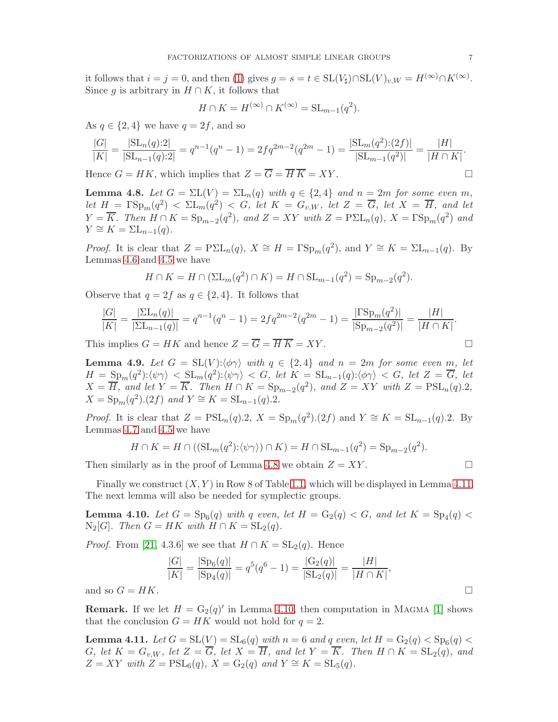it follows that  $i = j = 0$ , and then [\(1\)](#page-5-2) gives  $g = s = t \in SL(V_{\sharp}) \cap SL(V)_{v,W} = H^{(\infty)} \cap K^{(\infty)}$ . Since g is arbitrary in  $H \cap K$ , it follows that

$$
H \cap K = H^{(\infty)} \cap K^{(\infty)} = \operatorname{SL}_{m-1}(q^2).
$$

As  $q \in \{2, 4\}$  we have  $q = 2f$ , and so

$$
\frac{|G|}{|K|} = \frac{|\text{SL}_n(q):2|}{|\text{SL}_{n-1}(q):2|} = q^{n-1}(q^n - 1) = 2fq^{2m-2}(q^{2m} - 1) = \frac{|\text{SL}_m(q^2):(2f)|}{|\text{SL}_{m-1}(q^2)|} = \frac{|H|}{|H \cap K|}.
$$

Hence  $G = HK$ , which implies that  $Z = \overline{G} = \overline{H} \overline{K} = XY$ .

<span id="page-6-0"></span>**Lemma 4.8.** Let  $G = \Sigma L(V) = \Sigma L_n(q)$  with  $q \in \{2, 4\}$  and  $n = 2m$  for some even m, let  $H = \Gamma \text{Sp}_m(q^2) < \Sigma \text{L}_m(q^2) < G$ , let  $K = G_{v,W}$ , let  $Z = \overline{G}$ , let  $X = \overline{H}$ , and let  $Y = \overline{K}$ . Then  $H \cap K = \text{Sp}_{m-2}(q^2)$ , and  $Z = XY$  with  $Z = \text{P\Sigma L}_n(q)$ ,  $X = \text{PSp}_m(q^2)$  and  $Y \cong K = \sum L_{n-1}(q).$ 

*Proof.* It is clear that  $Z = P\Sigma L_n(q)$ ,  $X \cong H = \Gamma \text{Sp}_m(q^2)$ , and  $Y \cong K = \Sigma L_{n-1}(q)$ . By Lemmas [4.6](#page-5-0) and [4.5](#page-4-1) we have

$$
H \cap K = H \cap (\Sigma L_m(q^2) \cap K) = H \cap \Sigma L_{m-1}(q^2) = \mathrm{Sp}_{m-2}(q^2).
$$

Observe that  $q = 2f$  as  $q \in \{2, 4\}$ . It follows that

$$
\frac{|G|}{|K|} = \frac{|\Sigma L_n(q)|}{|\Sigma L_{n-1}(q)|} = q^{n-1}(q^n - 1) = 2fq^{2m-2}(q^{2m} - 1) = \frac{|\Gamma Sp_m(q^2)|}{|\text{Sp}_{m-2}(q^2)|} = \frac{|H|}{|H \cap K|}.
$$

This implies  $G = HK$  and hence  $Z = \overline{G} = \overline{H} \overline{K} = XY$ .

<span id="page-6-1"></span>**Lemma 4.9.** Let  $G = SL(V): \langle \phi \gamma \rangle$  with  $q \in \{2, 4\}$  and  $n = 2m$  for some even m, let  $H = \text{Sp}_m(q^2): \langle \psi \gamma \rangle \langle \text{SL}_m(q^2): \langle \psi \gamma \rangle \langle G, \text{ let } K = \text{SL}_{n-1}(q): \langle \phi \gamma \rangle \langle G, \text{ let } Z = \overline{G}, \text{ let } \overline{G}$  $X = \overline{H}$ , and let  $Y = \overline{K}$ . Then  $H \cap K = \text{Sp}_{m-2}(q^2)$ , and  $Z = XY$  with  $Z = \text{PSL}_n(q)$ .2,  $X = \text{Sp}_m(q^2) \cdot (2f)$  and  $Y \cong K = \text{SL}_{n-1}(q) \cdot 2$ .

*Proof.* It is clear that  $Z = \text{PSL}_n(q) \cdot 2$ ,  $X = \text{Sp}_m(q^2) \cdot (2f)$  and  $Y \cong K = \text{SL}_{n-1}(q) \cdot 2$ . By Lemmas [4.7](#page-5-1) and [4.5](#page-4-1) we have

$$
H \cap K = H \cap ((\mathrm{SL}_m(q^2):\langle \psi \gamma \rangle) \cap K) = H \cap \mathrm{SL}_{m-1}(q^2) = \mathrm{Sp}_{m-2}(q^2).
$$

Then similarly as in the proof of Lemma [4.8](#page-6-0) we obtain  $Z = XY$ .

Finally we construct  $(X, Y)$  in Row 8 of Table [1.1,](#page-1-1) which will be displayed in Lemma [4.11.](#page-6-2) The next lemma will also be needed for symplectic groups.

<span id="page-6-3"></span>**Lemma 4.10.** Let  $G = Sp_6(q)$  with q even, let  $H = G_2(q) < G$ , and let  $K = Sp_4(q) <$  $N_2[G]$ . Then  $G = HK$  with  $H \cap K = SL_2(q)$ .

*Proof.* From [\[21,](#page-10-6) 4.3.6] we see that  $H \cap K = SL_2(q)$ . Hence

$$
\frac{|G|}{|K|} = \frac{|\text{Sp}_6(q)|}{|\text{Sp}_4(q)|} = q^5(q^6 - 1) = \frac{|\text{G}_2(q)|}{|\text{SL}_2(q)|} = \frac{|H|}{|H \cap K|},
$$
  
and so  $G = HK$ .

**Remark.** If we let  $H = G_2(q)$  in Lemma [4.10,](#page-6-3) then computation in MAGMA [\[1\]](#page-9-6) shows that the conclusion  $G = HK$  would not hold for  $q = 2$ .

<span id="page-6-2"></span>**Lemma 4.11.** Let  $G = SL(V) = SL_6(q)$  with  $n = 6$  and  $q$  even, let  $H = G_2(q) < Sp_6(q)$ G, let  $K = G_{v,W}$ , let  $Z = \overline{G}$ , let  $X = \overline{H}$ , and let  $Y = \overline{K}$ . Then  $H \cap K = SL_2(q)$ , and  $Z = XY$  with  $Z = \text{PSL}_6(q)$ ,  $X = G_2(q)$  and  $Y \cong K = \text{SL}_5(q)$ .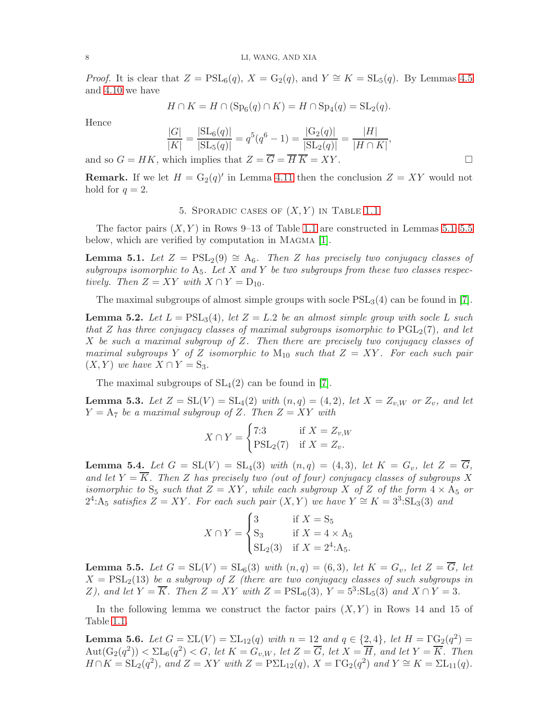*Proof.* It is clear that  $Z = \text{PSL}_6(q)$ ,  $X = G_2(q)$ , and  $Y \cong K = \text{SL}_5(q)$ . By Lemmas [4.5](#page-4-1) and [4.10](#page-6-3) we have

$$
H \cap K = H \cap (\mathrm{Sp}_6(q) \cap K) = H \cap \mathrm{Sp}_4(q) = \mathrm{SL}_2(q).
$$

Hence

$$
\frac{|G|}{|K|} = \frac{|\text{SL}_6(q)|}{|\text{SL}_5(q)|} = q^5(q^6 - 1) = \frac{|\text{G}_2(q)|}{|\text{SL}_2(q)|} = \frac{|H|}{|H \cap K|},
$$

and so  $G = HK$ , which implies that  $Z = \overline{G} = \overline{H} \overline{K} = XY$ .

<span id="page-7-6"></span>**Remark.** If we let  $H = G_2(q)$  in Lemma [4.11](#page-6-2) then the conclusion  $Z = XY$  would not hold for  $q=2$ .

### 5. SPORADIC CASES OF  $(X, Y)$  in Table [1.1](#page-1-1)

The factor pairs  $(X, Y)$  in Rows 9–13 of Table [1.1](#page-1-1) are constructed in Lemmas [5.1](#page-7-0)[–5.5](#page-7-4) below, which are verified by computation in MAGMA [\[1\]](#page-9-6).

<span id="page-7-0"></span>**Lemma 5.1.** Let  $Z = \text{PSL}_2(9) \cong A_6$ . Then Z has precisely two conjugacy classes of subgroups isomorphic to  $A_5$ . Let X and Y be two subgroups from these two classes respectively. Then  $Z = XY$  with  $X \cap Y = D_{10}$ .

The maximal subgroups of almost simple groups with socle  $PSL<sub>3</sub>(4)$  can be found in [\[7\]](#page-9-7).

<span id="page-7-1"></span>**Lemma 5.2.** Let  $L = \text{PSL}_3(4)$ , let  $Z = L.2$  be an almost simple group with socle L such that Z has three conjugacy classes of maximal subgroups isomorphic to  $PGL_2(7)$ , and let X be such a maximal subgroup of  $Z$ . Then there are precisely two conjugacy classes of maximal subgroups Y of Z isomorphic to  $M_{10}$  such that  $Z = XY$ . For each such pair  $(X, Y)$  we have  $X \cap Y = S_3$ .

The maximal subgroups of  $SL<sub>4</sub>(2)$  can be found in [\[7\]](#page-9-7).

<span id="page-7-2"></span>**Lemma 5.3.** Let  $Z = SL(V) = SL_4(2)$  with  $(n, q) = (4, 2)$ , let  $X = Z_{v,W}$  or  $Z_v$ , and let  $Y = A_7$  be a maximal subgroup of Z. Then  $Z = XY$  with

$$
X \cap Y = \begin{cases} 7:3 & \text{if } X = Z_{v,W} \\ \text{PSL}_2(7) & \text{if } X = Z_v. \end{cases}
$$

<span id="page-7-3"></span>**Lemma 5.4.** Let  $G = SL(V) = SL_4(3)$  with  $(n,q) = (4,3)$ , let  $K = G_v$ , let  $Z = \overline{G}$ , and let  $Y = \overline{K}$ . Then Z has precisely two (out of four) conjugacy classes of subgroups X isomorphic to  $S_5$  such that  $Z = XY$ , while each subgroup X of Z of the form  $4 \times A_5$  or  $2^4$ :A<sub>5</sub> satisfies  $Z = XY$ . For each such pair  $(X, Y)$  we have  $Y \cong K = 3^3$ :SL<sub>3</sub>(3) and

$$
X \cap Y = \begin{cases} 3 & \text{if } X = S_5 \\ S_3 & \text{if } X = 4 \times A_5 \\ SL_2(3) & \text{if } X = 2^4:A_5. \end{cases}
$$

<span id="page-7-4"></span>**Lemma 5.5.** Let  $G = SL(V) = SL_6(3)$  with  $(n,q) = (6,3)$ , let  $K = G_v$ , let  $Z = \overline{G}$ , let  $X = \text{PSL}_2(13)$  be a subgroup of Z (there are two conjugacy classes of such subgroups in Z), and let  $Y = \overline{K}$ . Then  $Z = XY$  with  $Z = \text{PSL}_6(3)$ ,  $Y = 5^3$ : $\text{SL}_5(3)$  and  $X \cap Y = 3$ .

In the following lemma we construct the factor pairs  $(X, Y)$  in Rows 14 and 15 of Table [1.1.](#page-1-1)

<span id="page-7-5"></span>**Lemma 5.6.** Let  $G = \Sigma L(V) = \Sigma L_{12}(q)$  with  $n = 12$  and  $q \in \{2, 4\}$ , let  $H = \Gamma G_2(q^2) =$  $\mathrm{Aut}(\mathrm{G}_2(q^2)) < \Sigma \mathrm{L}_6(q^2) < G, \text{ let } K = G_{v,W}, \text{ let } Z = \overline{G}, \text{ let } X = \overline{H}, \text{ and let } Y = \overline{K}.$  Then  $H \cap K = \mathrm{SL}_2(q^2)$ , and  $Z = XY$  with  $Z = \mathrm{P\Sigma L}_{12}(q)$ ,  $X = \Gamma \mathrm{G}_2(q^2)$  and  $Y \cong K = \Sigma \mathrm{L}_{11}(q)$ .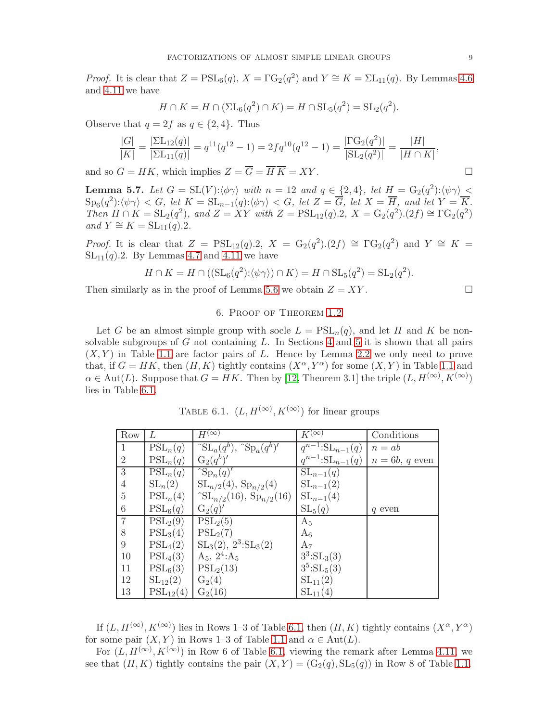*Proof.* It is clear that  $Z = \text{PSL}_6(q)$ ,  $X = \Gamma G_2(q^2)$  and  $Y \cong K = \Sigma L_{11}(q)$ . By Lemmas [4.6](#page-5-0) and [4.11](#page-6-2) we have

$$
H \cap K = H \cap (\Sigma L_6(q^2) \cap K) = H \cap \mathrm{SL}_5(q^2) = \mathrm{SL}_2(q^2).
$$

Observe that  $q = 2f$  as  $q \in \{2, 4\}$ . Thus

$$
\frac{|G|}{|K|} = \frac{|\Sigma L_{12}(q)|}{|\Sigma L_{11}(q)|} = q^{11}(q^{12} - 1) = 2fq^{10}(q^{12} - 1) = \frac{|\Gamma G_2(q^2)|}{|\Sigma L_2(q^2)|} = \frac{|H|}{|H \cap K|},
$$

and so  $G = HK$ , which implies  $Z = \overline{G} = \overline{H} \overline{K} = XY$ .

<span id="page-8-0"></span>**Lemma 5.7.** Let  $G = SL(V): \langle \phi \gamma \rangle$  with  $n = 12$  and  $q \in \{2, 4\}$ , let  $H = G_2(q^2): \langle \psi \gamma \rangle$  $\text{Sp}_6(q^2):\langle\psi\gamma\rangle < G, \ let \ K = \text{SL}_{n-1}(q):\langle\phi\gamma\rangle < G, \ let \ Z = \overline{G}, \ let \ X = \overline{H}, \ and \ let \ Y = \overline{K}.$ Then  $H \cap K = SL_2(q^2)$ , and  $Z = XY$  with  $Z = PSL_{12}(q).2$ ,  $X = G_2(q^2).(2f) \cong \Gamma G_2(q^2)$ and  $Y \cong K = SL_{11}(q).2$ .

*Proof.* It is clear that  $Z = \text{PSL}_{12}(q).2$ ,  $X = G_2(q^2).2(f) \cong \Gamma G_2(q^2)$  and  $Y \cong K =$  $SL<sub>11</sub>(q).2$ . By Lemmas [4.7](#page-5-1) and [4.11](#page-6-2) we have

$$
H \cap K = H \cap ((\mathrm{SL}_6(q^2): \langle \psi \gamma \rangle) \cap K) = H \cap \mathrm{SL}_5(q^2) = \mathrm{SL}_2(q^2).
$$

Then similarly as in the proof of Lemma [5.6](#page-7-5) we obtain  $Z = XY$ .

### 6. Proof of Theorem [1.2](#page-1-0)

Let G be an almost simple group with socle  $L = \text{PSL}_n(q)$ , and let H and K be nonsolvable subgroups of  $G$  not containing  $L$ . In Sections [4](#page-3-2) and [5](#page-7-6) it is shown that all pairs  $(X, Y)$  in Table [1.1](#page-1-1) are factor pairs of L. Hence by Lemma [2.2](#page-2-2) we only need to prove that, if  $G = HK$ , then  $(H, K)$  tightly contains  $(X^{\alpha}, Y^{\alpha})$  for some  $(X, Y)$  in Table [1.1](#page-1-1) and  $\alpha \in \text{Aut}(L)$ . Suppose that  $G = HK$ . Then by [\[12,](#page-9-3) Theorem 3.1] the triple  $(L, H^{(\infty)}, K^{(\infty)})$ lies in Table [6.1.](#page-8-1)

TABLE 6.1.  $(L, H^{(\infty)}, K^{(\infty)})$  for linear groups

<span id="page-8-1"></span>

| Row             | L                              | $H^{(\infty)}$                                         | $\overline{K^{(\infty)}}$                 | Conditions       |
|-----------------|--------------------------------|--------------------------------------------------------|-------------------------------------------|------------------|
| -1              | $PSL_n(q)$                     | $\int \mathrm{SL}_a(q^b)$ , $\int \mathrm{Sp}_a(q^b)'$ | $\overline{q}^{n-1}:\mathrm{SL}_{n-1}(q)$ | $n = ab$         |
| $\overline{2}$  | $PSL_n(q)$                     | $G_2(q^b)'$                                            | $q^{n-1}:\mathrm{SL}_{n-1}(q)$            | $n = 6b, q$ even |
| $\overline{3}$  | $\overline{\mathrm{PSL}}_n(q)$ | $\exp_n(q)$                                            | $SL_{n-1}(q)$                             |                  |
| $\overline{4}$  | $SL_n(2)$                      | $SL_{n/2}(4)$ , $Sp_{n/2}(4)$                          | $SL_{n-1}(2)$                             |                  |
| $\overline{5}$  | $PSL_n(4)$                     | $\text{SL}_{n/2}(16)$ , $\text{Sp}_{n/2}(16)$          | $SL_{n-1}(4)$                             |                  |
| $6\phantom{.}6$ | $PSL_6(q)$                     | $G_2(q)'$                                              | $SL_5(q)$                                 | q even           |
| $\overline{7}$  | $PSL_2(9)$                     | $\overline{\mathrm{PSL}}_2(5)$                         | $A_5$                                     |                  |
| 8               | PSL <sub>3</sub> (4)           | $PSL_2(7)$                                             | $A_6$                                     |                  |
| 9               | $PSL_4(2)$                     | $SL_3(2), 2^3:SL_3(2)$                                 | $A_7$                                     |                  |
| 10              | $PSL_4(3)$                     | $A_5$ , $2^4:A_5$                                      | $3^3:SL_3(3)$                             |                  |
| 11              | $PSL_6(3)$                     | PSL <sub>2</sub> (13)                                  | $3^5:SL_5(3)$                             |                  |
| 12              | $SL_{12}(2)$                   | $G_2(4)$                                               | $SL_{11}(2)$                              |                  |
| 13              | $PSL_{12}(4)$                  | $G_2(16)$                                              | $SL_{11}(4)$                              |                  |

If  $(L, H^{(\infty)}, K^{(\infty)})$  lies in Rows 1–3 of Table [6.1,](#page-8-1) then  $(H, K)$  tightly contains  $(X^{\alpha}, Y^{\alpha})$ for some pair  $(X, Y)$  in Rows 1–3 of Table [1.1](#page-1-1) and  $\alpha \in \text{Aut}(L)$ .

For  $(L, H^{(\infty)}, K^{(\infty)})$  in Row 6 of Table [6.1,](#page-8-1) viewing the remark after Lemma [4.11,](#page-6-2) we see that  $(H, K)$  tightly contains the pair  $(X, Y) = (G_2(q), SL_5(q))$  in Row 8 of Table [1.1.](#page-1-1)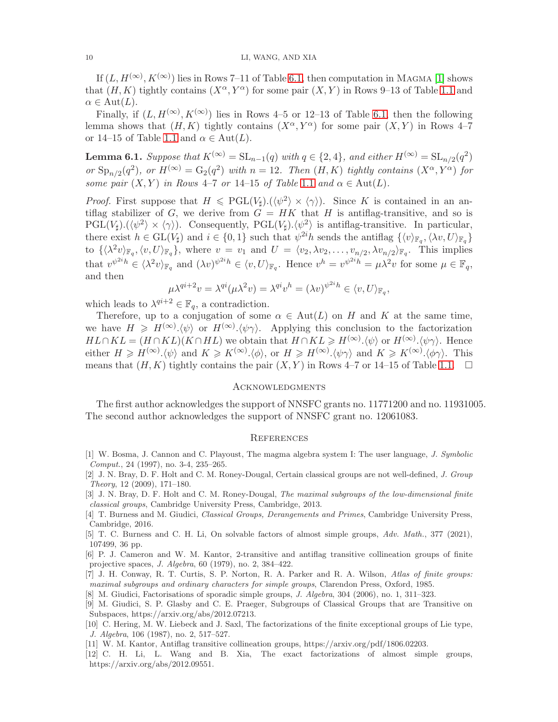If  $(L, H^{(\infty)}, K^{(\infty)})$  lies in Rows 7–11 of Table [6.1,](#page-8-1) then computation in MAGMA [\[1\]](#page-9-6) shows that  $(H, K)$  tightly contains  $(X^{\alpha}, Y^{\alpha})$  for some pair  $(X, Y)$  in Rows 9–13 of Table [1.1](#page-1-1) and  $\alpha \in \text{Aut}(L).$ 

Finally, if  $(L, H^{(\infty)}, K^{(\infty)})$  lies in Rows 4–5 or 12–13 of Table [6.1,](#page-8-1) then the following lemma shows that  $(H, K)$  tightly contains  $(X^{\alpha}, Y^{\alpha})$  for some pair  $(X, Y)$  in Rows 4–7 or 14–15 of Table [1.1](#page-1-1) and  $\alpha \in \text{Aut}(L)$ .

**Lemma 6.1.** Suppose that  $K^{(\infty)} = SL_{n-1}(q)$  with  $q \in \{2, 4\}$ , and either  $H^{(\infty)} = SL_{n/2}(q^2)$ or  $\text{Sp}_{n/2}(q^2)$ , or  $H^{(\infty)} = \text{G}_2(q^2)$  with  $n = 12$ . Then  $(H, K)$  tightly contains  $(X^{\alpha}, Y^{\alpha})$  for some pair  $(X, Y)$  in Rows 4–7 or [1](#page-1-1)4–15 of Table 1.1 and  $\alpha \in \text{Aut}(L)$ .

*Proof.* First suppose that  $H \leq PGL(V_{\sharp}).(\langle \psi^2 \rangle \times \langle \gamma \rangle)$ . Since K is contained in an antiflag stabilizer of G, we derive from  $G = HK$  that H is antiflag-transitive, and so is  $PGL(V_{\sharp}).(\langle \psi^2 \rangle \times \langle \gamma \rangle)$ . Consequently,  $PGL(V_{\sharp}).\langle \psi^2 \rangle$  is antiflag-transitive. In particular, there exist  $h \in GL(V_{\sharp})$  and  $i \in \{0,1\}$  such that  $\psi^{2i}h$  sends the antiflag  $\{\langle v \rangle_{\mathbb{F}_q}, \langle \lambda v, U \rangle_{\mathbb{F}_q}\}$ to  $\{\langle \lambda^2 v \rangle_{\mathbb{F}_q}, \langle v, U \rangle_{\mathbb{F}_q}\},\$  where  $v = v_1$  and  $U = \langle v_2, \lambda v_2, \ldots, v_{n/2}, \lambda v_{n/2} \rangle_{\mathbb{F}_q}.$  This implies that  $v^{\psi^{2i}h} \in \langle \lambda^2 v \rangle_{\mathbb{F}_q}$  and  $(\lambda v)^{\psi^{2i}h} \in \langle v, U \rangle_{\mathbb{F}_q}$ . Hence  $v^h = v^{\psi^{2i}h} = \mu \lambda^2 v$  for some  $\mu \in \mathbb{F}_q$ , and then

$$
\mu \lambda^{qi+2} v = \lambda^{qi} (\mu \lambda^2 v) = \lambda^{qi} v^h = (\lambda v)^{\psi^{2i} h} \in \langle v, U \rangle_{\mathbb{F}_q},
$$

which leads to  $\lambda^{qi+2} \in \mathbb{F}_q$ , a contradiction.

Therefore, up to a conjugation of some  $\alpha \in Aut(L)$  on H and K at the same time, we have  $H \geqslant H^{(\infty)}(\psi)$  or  $H^{(\infty)}(\psi \gamma)$ . Applying this conclusion to the factorization  $HL \cap KL = (H \cap KL)(K \cap HL)$  we obtain that  $H \cap KL \geq H^{(\infty)} \cdot \langle \psi \rangle$  or  $H^{(\infty)} \cdot \langle \psi \gamma \rangle$ . Hence either  $H \ge H^{(\infty)}(\psi)$  and  $K \ge K^{(\infty)}(\phi)$ , or  $H \ge H^{(\infty)}(\psi)$  and  $K \ge K^{(\infty)}(\phi)$ . This means that  $(H, K)$  tightly contains the pair  $(X, Y)$  in Rows 4–7 or 14–15 of Table [1.1.](#page-1-1)  $\Box$ 

#### **ACKNOWLEDGMENTS**

The first author acknowledges the support of NNSFC grants no. 11771200 and no. 11931005. The second author acknowledges the support of NNSFC grant no. 12061083.

#### **REFERENCES**

- <span id="page-9-6"></span>[1] W. Bosma, J. Cannon and C. Playoust, The magma algebra system I: The user language, J. Symbolic Comput., 24 (1997), no. 3-4, 235–265.
- [2] J. N. Bray, D. F. Holt and C. M. Roney-Dougal, Certain classical groups are not well-defined, J. Group Theory, 12 (2009), 171–180.
- [3] J. N. Bray, D. F. Holt and C. M. Roney-Dougal, The maximal subgroups of the low-dimensional finite classical groups, Cambridge University Press, Cambridge, 2013.
- [4] T. Burness and M. Giudici, Classical Groups, Derangements and Primes, Cambridge University Press, Cambridge, 2016.
- <span id="page-9-2"></span>[5] T. C. Burness and C. H. Li, On solvable factors of almost simple groups, Adv. Math., 377 (2021), 107499, 36 pp.
- <span id="page-9-4"></span>[6] P. J. Cameron and W. M. Kantor, 2-transitive and antiflag transitive collineation groups of finite projective spaces, J. Algebra, 60 (1979), no. 2, 384–422.
- <span id="page-9-7"></span>[7] J. H. Conway, R. T. Curtis, S. P. Norton, R. A. Parker and R. A. Wilson, Atlas of finite groups: maximal subgroups and ordinary characters for simple groups, Clarendon Press, Oxford, 1985.
- <span id="page-9-1"></span>[8] M. Giudici, Factorisations of sporadic simple groups, J. Algebra, 304 (2006), no. 1, 311–323.
- [9] M. Giudici, S. P. Glasby and C. E. Praeger, Subgroups of Classical Groups that are Transitive on Subspaces, https://arxiv.org/abs/2012.07213.
- <span id="page-9-0"></span>[10] C. Hering, M. W. Liebeck and J. Saxl, The factorizations of the finite exceptional groups of Lie type, J. Algebra, 106 (1987), no. 2, 517–527.
- <span id="page-9-5"></span><span id="page-9-3"></span>[11] W. M. Kantor, Antiflag transitive collineation groups, https://arxiv.org/pdf/1806.02203.
- [12] C. H. Li, L. Wang and B. Xia, The exact factorizations of almost simple groups, https://arxiv.org/abs/2012.09551.